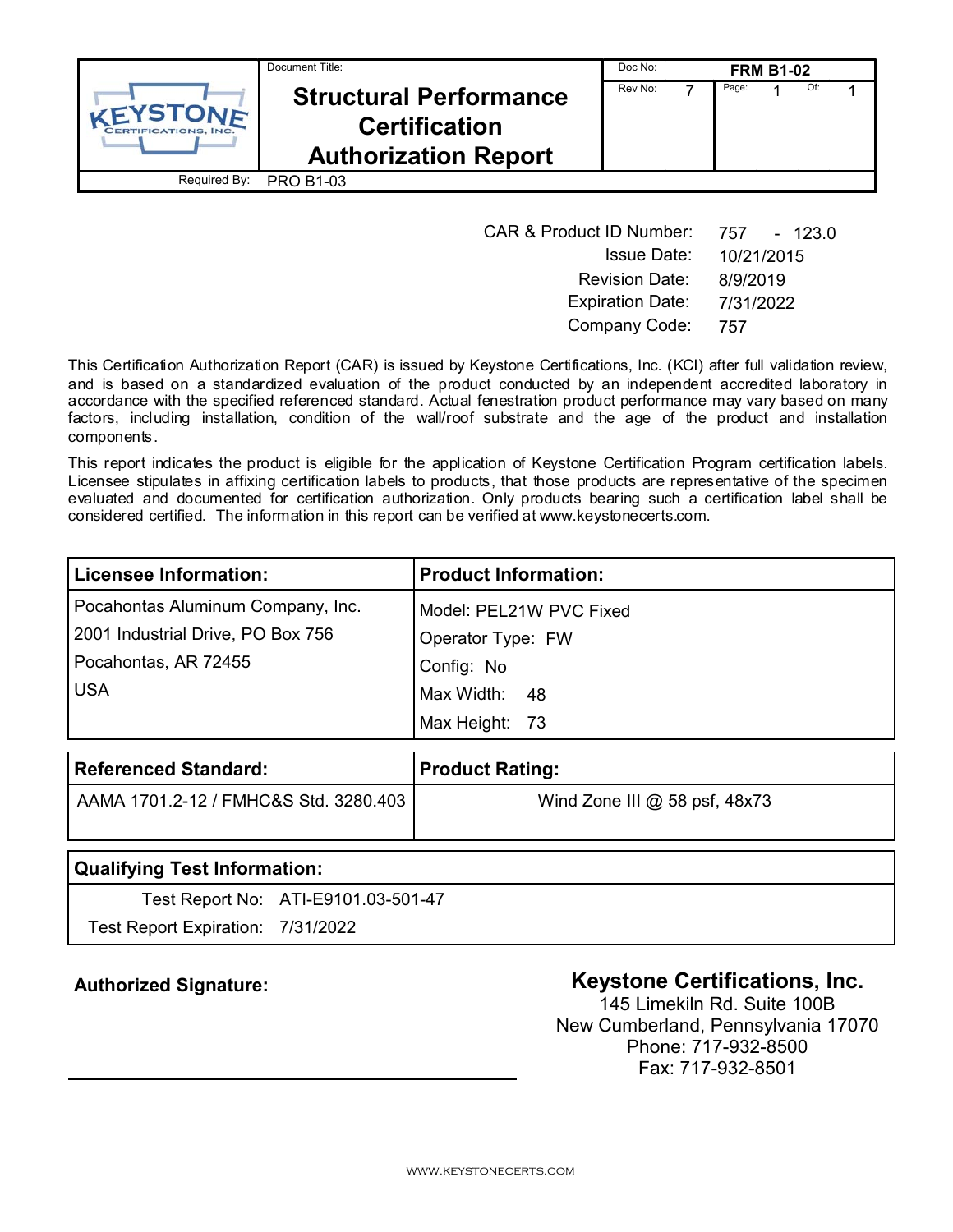| Document Title:                       |                                                                                      | Doc No: | <b>FRM B1-02</b> |       |  |     |  |
|---------------------------------------|--------------------------------------------------------------------------------------|---------|------------------|-------|--|-----|--|
| VEYSTONE<br><b>RTIFICATIONS, INC.</b> | <b>Structural Performance</b><br><b>Certification</b><br><b>Authorization Report</b> | Rev No: |                  | Page: |  | Of: |  |
| Required By:                          | <b>PRO B1-03</b>                                                                     |         |                  |       |  |     |  |

| <b>CAR &amp; Product ID Number:</b> | 757 - 123.0 |
|-------------------------------------|-------------|
| <b>Issue Date:</b>                  | 10/21/2015  |
| <b>Revision Date:</b>               | 8/9/2019    |
| <b>Expiration Date:</b>             | 7/31/2022   |
| Company Code:                       | 757         |

This Certification Authorization Report (CAR) is issued by Keystone Certifications, Inc. (KCI) after full validation review, and is based on a standardized evaluation of the product conducted by an independent accredited laboratory in accordance with the specified referenced standard. Actual fenestration product performance may vary based on many factors, including installation, condition of the wall/roof substrate and the age of the product and installation components.

This report indicates the product is eligible for the application of Keystone Certification Program certification labels. Licensee stipulates in affixing certification labels to products, that those products are representative of the specimen evaluated and documented for certification authorization. Only products bearing such a certification label shall be considered certified. The information in this report can be verified at www.keystonecerts.com.

| <b>Licensee Information:</b>      | <b>Product Information:</b> |
|-----------------------------------|-----------------------------|
| Pocahontas Aluminum Company, Inc. | Model: PEL21W PVC Fixed     |
| 2001 Industrial Drive, PO Box 756 | Operator Type: FW           |
| Pocahontas, AR 72455              | Config: No                  |
| <b>USA</b>                        | Max Width: 48               |
|                                   | Max Height: 73              |

| <b>Referenced Standard:</b>           | <b>Product Rating:</b>          |
|---------------------------------------|---------------------------------|
| AAMA 1701.2-12 / FMHC&S Std. 3280.403 | Wind Zone III $@$ 58 psf, 48x73 |
|                                       |                                 |

| Qualifying Test Information:        |                                       |  |
|-------------------------------------|---------------------------------------|--|
|                                     | Test Report No:   ATI-E9101.03-501-47 |  |
| Test Report Expiration:   7/31/2022 |                                       |  |

# Authorized Signature: **Authorized Signature: Keystone Certifications, Inc.**

145 Limekiln Rd. Suite 100B New Cumberland, Pennsylvania 17070 Phone: 717-932-8500 Fax: 717-932-8501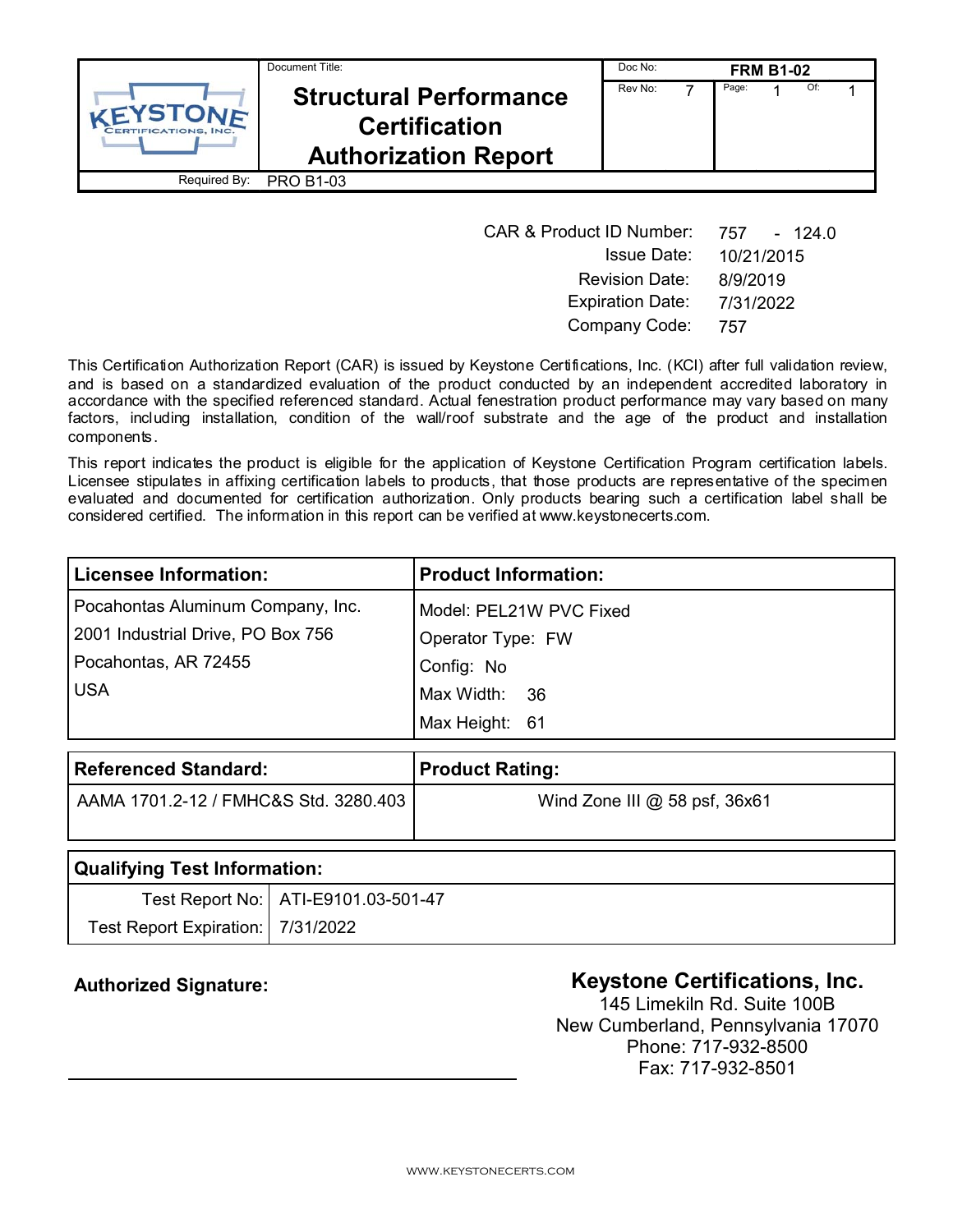| Document Title:                       |                                                                                      | Doc No: | <b>FRM B1-02</b> |       |  |     |  |
|---------------------------------------|--------------------------------------------------------------------------------------|---------|------------------|-------|--|-----|--|
| VEYSTONE<br><b>RTIFICATIONS, INC.</b> | <b>Structural Performance</b><br><b>Certification</b><br><b>Authorization Report</b> | Rev No: |                  | Page: |  | Of: |  |
| Required By:                          | <b>PRO B1-03</b>                                                                     |         |                  |       |  |     |  |

| <b>CAR &amp; Product ID Number:</b> | 757<br>- 124.0 |
|-------------------------------------|----------------|
| <b>Issue Date:</b>                  | 10/21/2015     |
| <b>Revision Date:</b>               | 8/9/2019       |
| <b>Expiration Date:</b>             | 7/31/2022      |
| Company Code:                       | 757            |

This Certification Authorization Report (CAR) is issued by Keystone Certifications, Inc. (KCI) after full validation review, and is based on a standardized evaluation of the product conducted by an independent accredited laboratory in accordance with the specified referenced standard. Actual fenestration product performance may vary based on many factors, including installation, condition of the wall/roof substrate and the age of the product and installation components.

This report indicates the product is eligible for the application of Keystone Certification Program certification labels. Licensee stipulates in affixing certification labels to products, that those products are representative of the specimen evaluated and documented for certification authorization. Only products bearing such a certification label shall be considered certified. The information in this report can be verified at www.keystonecerts.com.

| Licensee Information:             | <b>Product Information:</b> |
|-----------------------------------|-----------------------------|
| Pocahontas Aluminum Company, Inc. | Model: PEL21W PVC Fixed     |
| 2001 Industrial Drive, PO Box 756 | Operator Type: FW           |
| Pocahontas, AR 72455              | Config: No                  |
| <b>USA</b>                        | Max Width: 36               |
|                                   | Max Height: 61              |

| <b>Referenced Standard:</b>           | <b>Product Rating:</b>          |
|---------------------------------------|---------------------------------|
| AAMA 1701.2-12 / FMHC&S Std. 3280.403 | Wind Zone III $@$ 58 psf, 36x61 |
|                                       |                                 |

| Qualifying Test Information:        |                                       |  |
|-------------------------------------|---------------------------------------|--|
|                                     | Test Report No:   ATI-E9101.03-501-47 |  |
| Test Report Expiration:   7/31/2022 |                                       |  |

# Authorized Signature: **Authorized Signature: Keystone Certifications, Inc.**

145 Limekiln Rd. Suite 100B New Cumberland, Pennsylvania 17070 Phone: 717-932-8500 Fax: 717-932-8501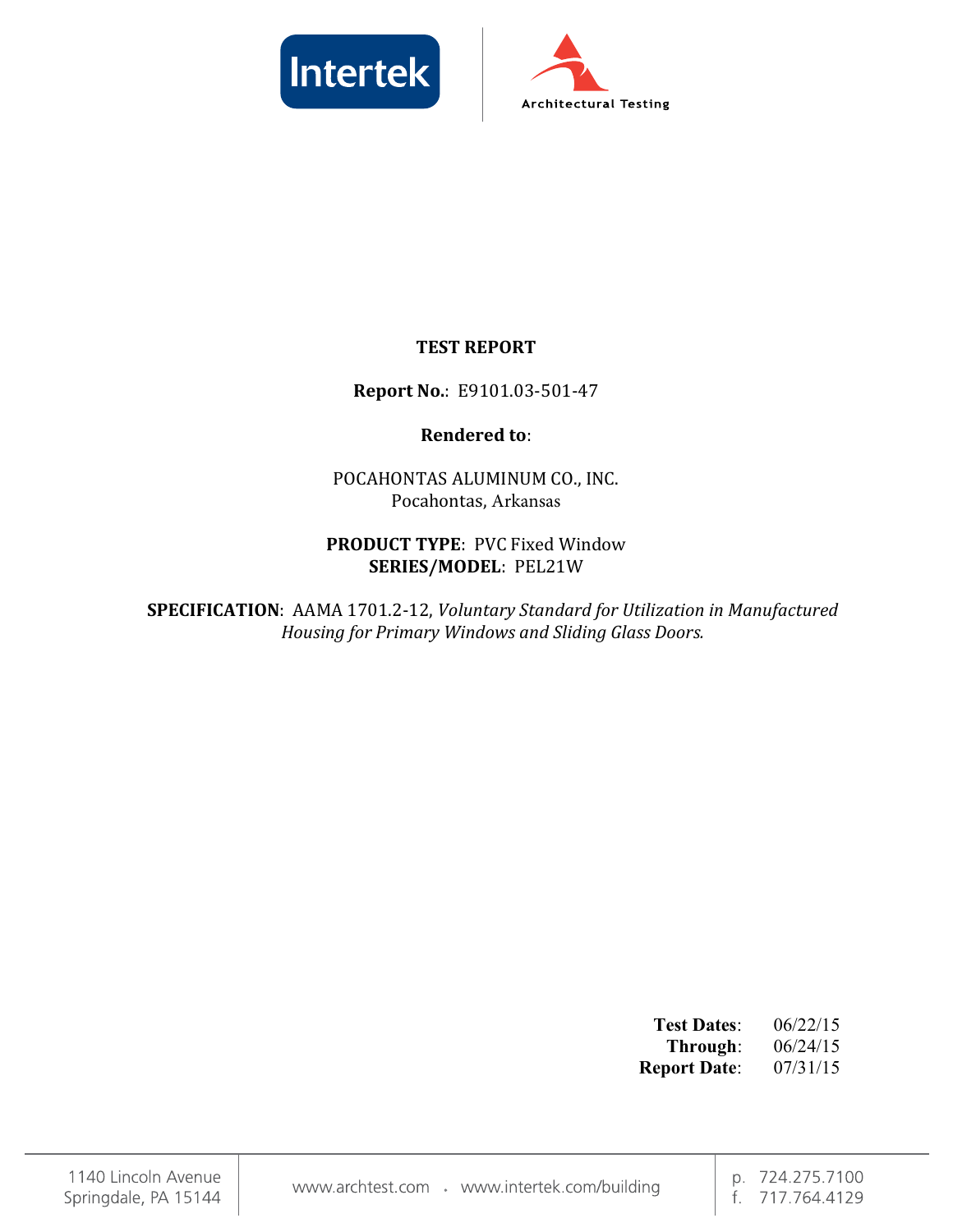



## TEST REPORT

## Report No.: E9101.03-501-47

## Rendered to:

POCAHONTAS ALUMINUM CO., INC. Pocahontas, Arkansas

## PRODUCT TYPE: PVC Fixed Window SERIES/MODEL: PEL21W

SPECIFICATION: AAMA 1701.2-12, Voluntary Standard for Utilization in Manufactured Housing for Primary Windows and Sliding Glass Doors.

| <b>Test Dates:</b>  | 06/22/15 |
|---------------------|----------|
| Through:            | 06/24/15 |
| <b>Report Date:</b> | 07/31/15 |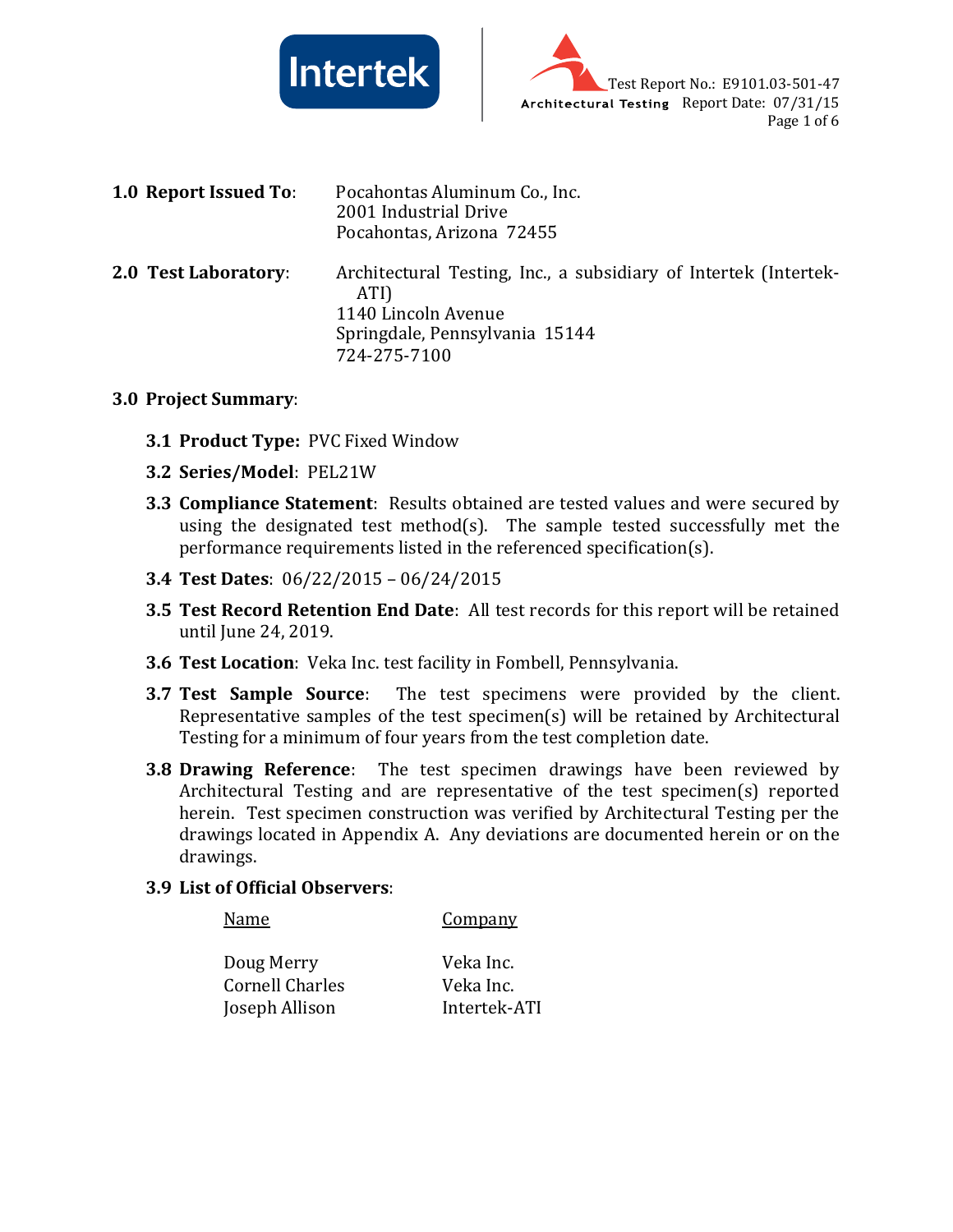



| 1.0 Report Issued To: | Pocahontas Aluminum Co., Inc.<br>2001 Industrial Drive<br>Pocahontas, Arizona 72455                                                               |
|-----------------------|---------------------------------------------------------------------------------------------------------------------------------------------------|
| 2.0 Test Laboratory:  | Architectural Testing, Inc., a subsidiary of Intertek (Intertek-<br>ATI)<br>1140 Lincoln Avenue<br>Springdale, Pennsylvania 15144<br>724-275-7100 |

#### 3.0 Project Summary:

- 3.1 Product Type: PVC Fixed Window
- 3.2 Series/Model: PEL21W
- **3.3 Compliance Statement**: Results obtained are tested values and were secured by using the designated test method(s). The sample tested successfully met the performance requirements listed in the referenced specification(s).
- 3.4 Test Dates: 06/22/2015 06/24/2015
- 3.5 Test Record Retention End Date: All test records for this report will be retained until June 24, 2019.
- 3.6 Test Location: Veka Inc. test facility in Fombell, Pennsylvania.
- 3.7 Test Sample Source: The test specimens were provided by the client. Representative samples of the test specimen(s) will be retained by Architectural Testing for a minimum of four years from the test completion date.
- 3.8 Drawing Reference: The test specimen drawings have been reviewed by Architectural Testing and are representative of the test specimen(s) reported herein. Test specimen construction was verified by Architectural Testing per the drawings located in Appendix A. Any deviations are documented herein or on the drawings.

### 3.9 List of Official Observers:

| Doug Merry      | Veka Inc.    |
|-----------------|--------------|
| Cornell Charles | Veka Inc.    |
| Joseph Allison  | Intertek-ATI |

Name Company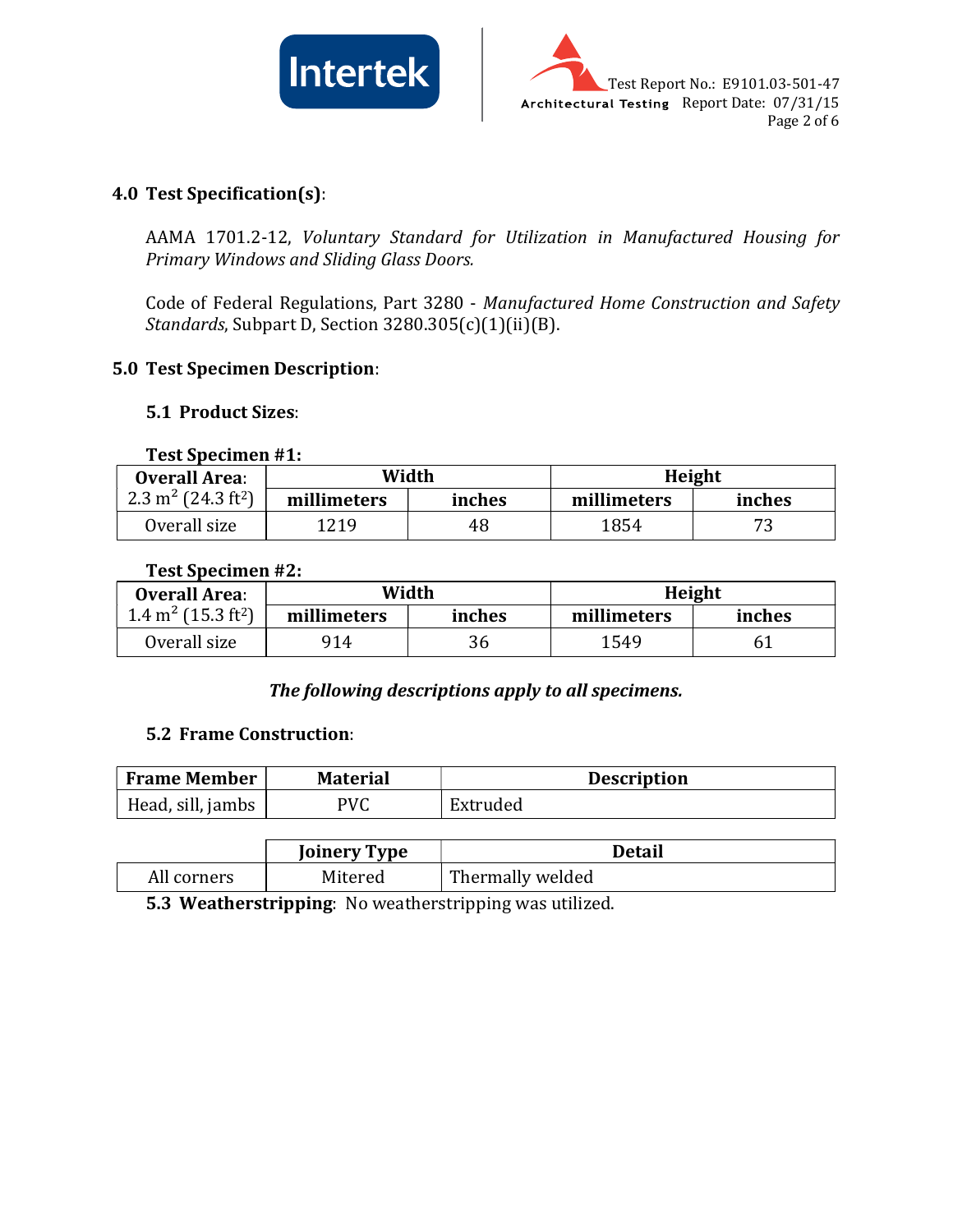



## 4.0 Test Specification(s):

AAMA 1701.2-12, Voluntary Standard for Utilization in Manufactured Housing for Primary Windows and Sliding Glass Doors.

Code of Federal Regulations, Part 3280 - Manufactured Home Construction and Safety Standards, Subpart D, Section 3280.305(c)(1)(ii)(B).

## 5.0 Test Specimen Description:

### 5.1 Product Sizes:

#### Test Specimen #1:

| <b>Overall Area:</b>                       | Width       |        |             | Height |
|--------------------------------------------|-------------|--------|-------------|--------|
| 2.3 m <sup>2</sup> (24.3 ft <sup>2</sup> ) | millimeters | inches | millimeters | inches |
| Overall size                               | 1219        | 48     | 1854        |        |

#### Test Specimen #2:

| <b>Overall Area:</b>                       | Width       |                       | Height |        |
|--------------------------------------------|-------------|-----------------------|--------|--------|
| 1.4 m <sup>2</sup> (15.3 ft <sup>2</sup> ) | millimeters | inches<br>millimeters |        | inches |
| Overall size                               | 914         | 36                    | 1549   |        |

### The following descriptions apply to all specimens.

#### 5.2 Frame Construction:

| <b>Frame Member</b> | <b>Material</b> | <b>Description</b> |
|---------------------|-----------------|--------------------|
| Head, sill, jambs   | PVC             | Extruded           |

|             | <b>Joinery Type</b> | Detail           |
|-------------|---------------------|------------------|
| All corners | Mitered             | Thermally welded |

5.3 Weatherstripping: No weatherstripping was utilized.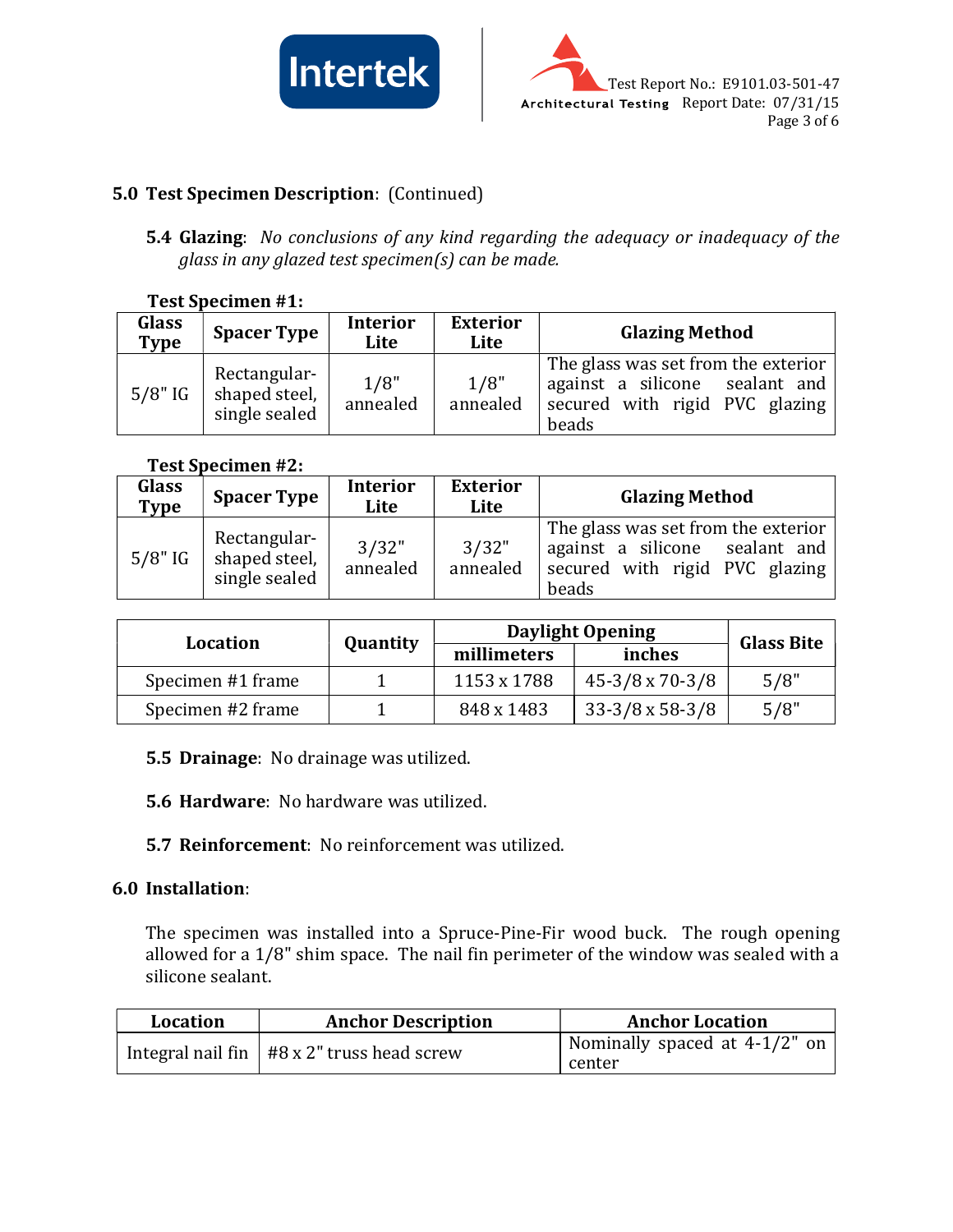



## 5.0 Test Specimen Description: (Continued)

5.4 Glazing: No conclusions of any kind regarding the adequacy or inadequacy of the glass in any glazed test specimen(s) can be made.

#### Test Specimen #1:

| Glass<br>Type | <b>Spacer Type</b>                             | <b>Interior</b><br>Lite | <b>Exterior</b><br>Lite | <b>Glazing Method</b>                                                                                            |
|---------------|------------------------------------------------|-------------------------|-------------------------|------------------------------------------------------------------------------------------------------------------|
| $5/8"$ IG     | Rectangular-<br>shaped steel,<br>single sealed | 1/8"<br>annealed        | 1/8"<br>annealed        | The glass was set from the exterior<br>against a silicone sealant and<br>secured with rigid PVC glazing<br>beads |

#### Test Specimen #2:

| Glass<br><b>Type</b> | <b>Spacer Type</b>                             | <b>Interior</b><br>Lite | <b>Exterior</b><br>Lite | <b>Glazing Method</b>                                                                                            |
|----------------------|------------------------------------------------|-------------------------|-------------------------|------------------------------------------------------------------------------------------------------------------|
| $5/8"$ IG            | Rectangular-<br>shaped steel,<br>single sealed | 3/32"<br>annealed       | 3/32"<br>annealed       | The glass was set from the exterior<br>against a silicone sealant and<br>secured with rigid PVC glazing<br>beads |

| Location          |          |             | <b>Daylight Opening</b> | <b>Glass Bite</b> |  |
|-------------------|----------|-------------|-------------------------|-------------------|--|
|                   | Quantity | millimeters | inches                  |                   |  |
| Specimen #1 frame |          | 1153 x 1788 | $45-3/8 \times 70-3/8$  | 5/8"              |  |
| Specimen #2 frame |          | 848 x 1483  | $33-3/8 \times 58-3/8$  | 5/8"              |  |

5.5 Drainage: No drainage was utilized.

5.6 Hardware: No hardware was utilized.

5.7 Reinforcement: No reinforcement was utilized.

### 6.0 Installation:

The specimen was installed into a Spruce-Pine-Fir wood buck. The rough opening allowed for a 1/8" shim space. The nail fin perimeter of the window was sealed with a silicone sealant.

| <b>Location</b> | <b>Anchor Description</b>                      | <b>Anchor Location</b>                  |
|-----------------|------------------------------------------------|-----------------------------------------|
|                 | Integral nail fin $ $ #8 x 2" truss head screw | Nominally spaced at 4-1/2" on<br>center |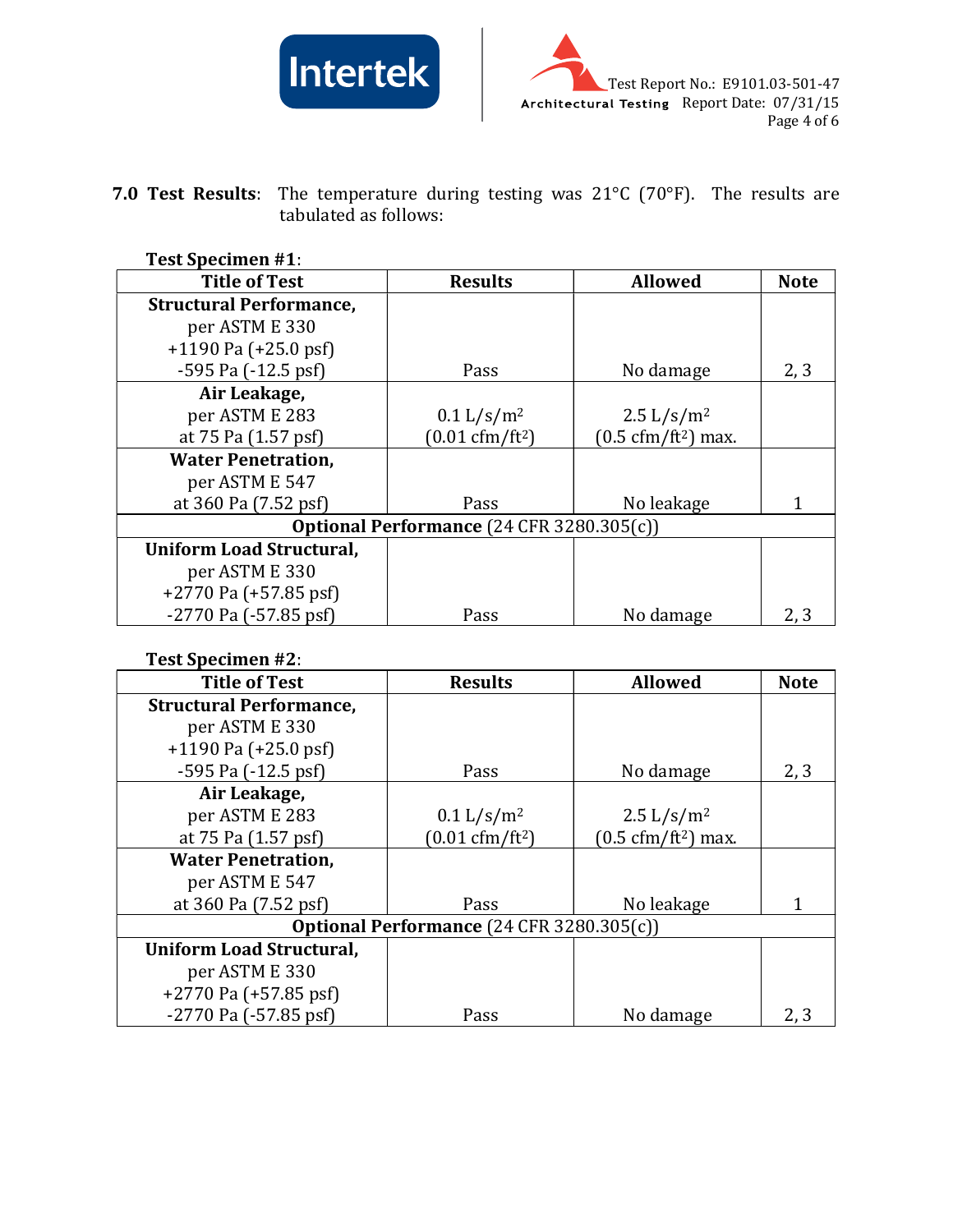



7.0 Test Results: The temperature during testing was  $21^{\circ}$ C (70°F). The results are tabulated as follows:

## Test Specimen #1:

| <b>Title of Test</b>            | <b>Results</b>                                   | <b>Allowed</b>                              | <b>Note</b> |
|---------------------------------|--------------------------------------------------|---------------------------------------------|-------------|
| <b>Structural Performance,</b>  |                                                  |                                             |             |
| per ASTM E 330                  |                                                  |                                             |             |
| $+1190$ Pa $(+25.0$ psf)        |                                                  |                                             |             |
| $-595$ Pa $(-12.5$ psf)         | Pass                                             | No damage                                   | 2, 3        |
| Air Leakage,                    |                                                  |                                             |             |
| per ASTM E 283                  | 0.1 L/s/m <sup>2</sup>                           | $2.5 \frac{\text{L}}{\text{s}} \text{/m}^2$ |             |
| at 75 Pa (1.57 psf)             | $(0.01 \text{ cfm}/\text{ft}^2)$                 | $(0.5 \text{ cfm}/\text{ft}^2)$ max.        |             |
| <b>Water Penetration,</b>       |                                                  |                                             |             |
| per ASTM E 547                  |                                                  |                                             |             |
| at 360 Pa (7.52 psf)            | Pass                                             | No leakage                                  |             |
|                                 | <b>Optional Performance (24 CFR 3280.305(c))</b> |                                             |             |
| <b>Uniform Load Structural,</b> |                                                  |                                             |             |
| per ASTM E 330                  |                                                  |                                             |             |
| $+2770$ Pa $(+57.85$ psf)       |                                                  |                                             |             |
| $-2770$ Pa $(-57.85$ psf)       | Pass                                             | No damage                                   | 2, 3        |

## Test Specimen #2:

| <b>Title of Test</b>           | <b>Results</b>                            | <b>Allowed</b>                               | <b>Note</b> |
|--------------------------------|-------------------------------------------|----------------------------------------------|-------------|
| <b>Structural Performance,</b> |                                           |                                              |             |
| per ASTM E 330                 |                                           |                                              |             |
| $+1190$ Pa $(+25.0$ psf)       |                                           |                                              |             |
| $-595$ Pa $(-12.5)$ psf        | Pass                                      | No damage                                    | 2, 3        |
| Air Leakage,                   |                                           |                                              |             |
| per ASTM E 283                 | 0.1 L/s/m <sup>2</sup>                    | $2.5 \frac{\text{L}}{\text{s}} / \text{m}^2$ |             |
| at 75 Pa (1.57 psf)            | $(0.01 \text{ cfm}/\text{ft}^2)$          | $(0.5 \text{ cfm}/\text{ft}^2)$ max.         |             |
| <b>Water Penetration,</b>      |                                           |                                              |             |
| per ASTM E 547                 |                                           |                                              |             |
| at 360 Pa (7.52 psf)           | Pass                                      | No leakage                                   |             |
|                                | Optional Performance (24 CFR 3280.305(c)) |                                              |             |
| Uniform Load Structural,       |                                           |                                              |             |
| per ASTM E 330                 |                                           |                                              |             |
| $+2770$ Pa $(+57.85$ psf)      |                                           |                                              |             |
| $-2770$ Pa $(-57.85$ psf)      | Pass                                      | No damage                                    | 2,3         |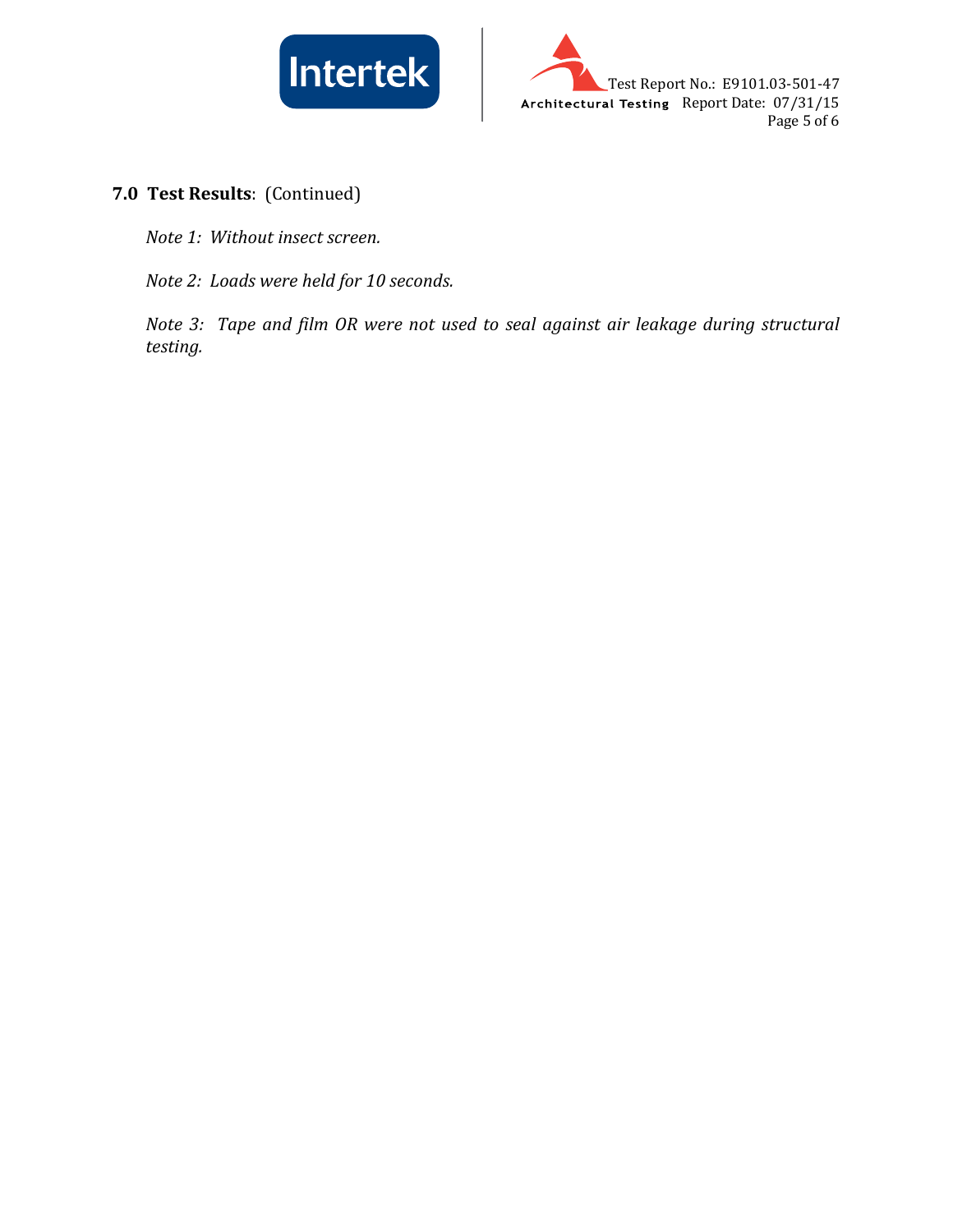



7.0 Test Results: (Continued)

Note 1: Without insect screen.

Note 2: Loads were held for 10 seconds.

Note 3: Tape and film OR were not used to seal against air leakage during structural testing.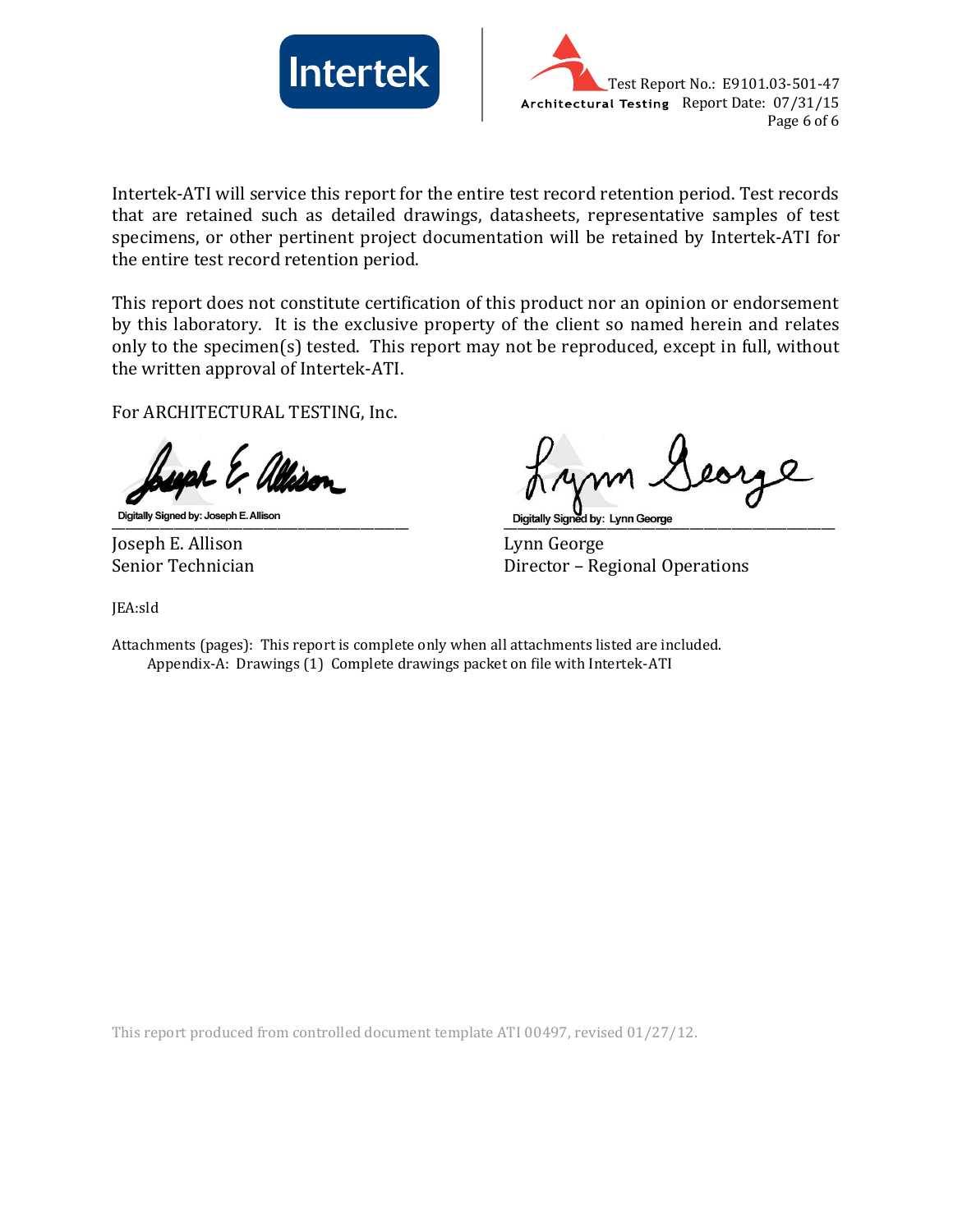



Intertek-ATI will service this report for the entire test record retention period. Test records that are retained such as detailed drawings, datasheets, representative samples of test specimens, or other pertinent project documentation will be retained by Intertek-ATI for the entire test record retention period.

This report does not constitute certification of this product nor an opinion or endorsement by this laboratory. It is the exclusive property of the client so named herein and relates only to the specimen(s) tested. This report may not be reproduced, except in full, without the written approval of Intertek-ATI.

For ARCHITECTURAL TESTING, Inc.

Digitally Signed by: Joseph E. Allison **Digitally Signed by: Lynn George** 

Joseph E. Allison Lynn George

Senior Technician Director – Regional Operations

JEA:sld

Attachments (pages): This report is complete only when all attachments listed are included. Appendix-A: Drawings (1) Complete drawings packet on file with Intertek-ATI

This report produced from controlled document template ATI 00497, revised 01/27/12.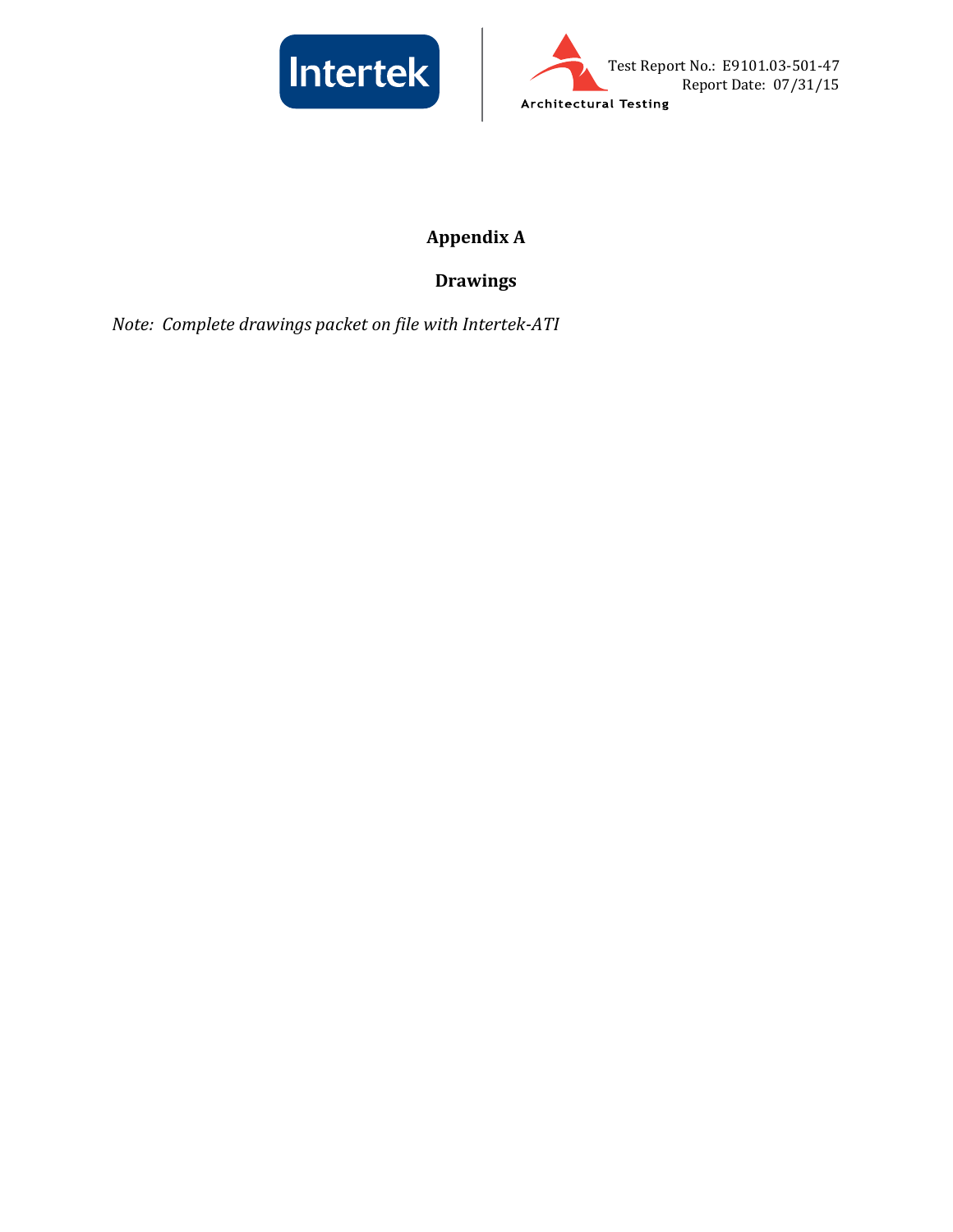



# Appendix A

# Drawings

Note: Complete drawings packet on file with Intertek-ATI